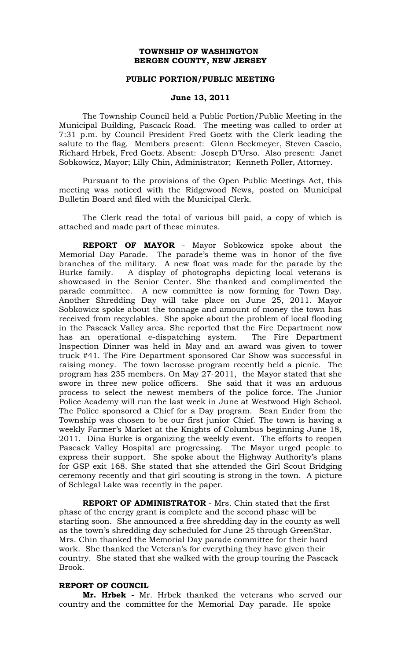### **TOWNSHIP OF WASHINGTON BERGEN COUNTY, NEW JERSEY**

#### **PUBLIC PORTION/PUBLIC MEETING**

#### **June 13, 2011**

The Township Council held a Public Portion/Public Meeting in the Municipal Building, Pascack Road. The meeting was called to order at 7:31 p.m. by Council President Fred Goetz with the Clerk leading the salute to the flag. Members present: Glenn Beckmeyer, Steven Cascio, Richard Hrbek, Fred Goetz. Absent: Joseph D'Urso. Also present: Janet Sobkowicz, Mayor; Lilly Chin, Administrator; Kenneth Poller, Attorney.

Pursuant to the provisions of the Open Public Meetings Act, this meeting was noticed with the Ridgewood News, posted on Municipal Bulletin Board and filed with the Municipal Clerk.

The Clerk read the total of various bill paid, a copy of which is attached and made part of these minutes.

**REPORT OF MAYOR** - Mayor Sobkowicz spoke about the Memorial Day Parade. The parade's theme was in honor of the five branches of the military. A new float was made for the parade by the Burke family. A display of photographs depicting local veterans is showcased in the Senior Center. She thanked and complimented the parade committee. A new committee is now forming for Town Day. Another Shredding Day will take place on June 25, 2011. Mayor Sobkowicz spoke about the tonnage and amount of money the town has received from recyclables. She spoke about the problem of local flooding in the Pascack Valley area. She reported that the Fire Department now has an operational e-dispatching system. The Fire Department Inspection Dinner was held in May and an award was given to tower truck #41. The Fire Department sponsored Car Show was successful in raising money. The town lacrosse program recently held a picnic. The program has 235 members. On May 27, 2011, the Mayor stated that she swore in three new police officers. She said that it was an arduous process to select the newest members of the police force. The Junior Police Academy will run the last week in June at Westwood High School. The Police sponsored a Chief for a Day program. Sean Ender from the Township was chosen to be our first junior Chief. The town is having a weekly Farmer's Market at the Knights of Columbus beginning June 18, 2011. Dina Burke is organizing the weekly event. The efforts to reopen Pascack Valley Hospital are progressing. The Mayor urged people to express their support. She spoke about the Highway Authority's plans for GSP exit 168. She stated that she attended the Girl Scout Bridging ceremony recently and that girl scouting is strong in the town. A picture of Schlegal Lake was recently in the paper.

**REPORT OF ADMINISTRATOR** - Mrs. Chin stated that the first phase of the energy grant is complete and the second phase will be starting soon. She announced a free shredding day in the county as well as the town's shredding day scheduled for June 25 through GreenStar. Mrs. Chin thanked the Memorial Day parade committee for their hard work. She thanked the Veteran's for everything they have given their country. She stated that she walked with the group touring the Pascack Brook.

# **REPORT OF COUNCIL**

**Mr. Hrbek** - Mr. Hrbek thanked the veterans who served our country and the committee for the Memorial Day parade. He spoke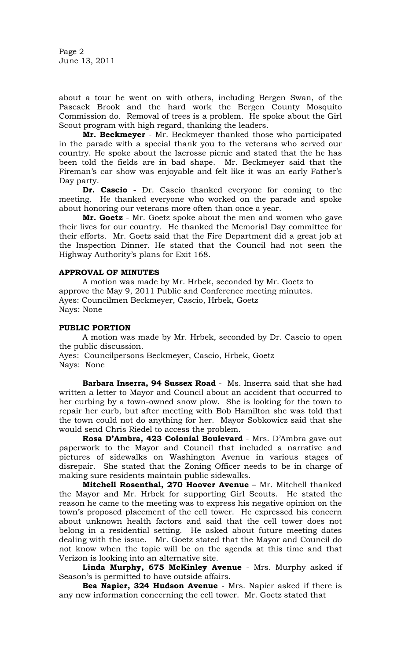Page 2 June 13, 2011

about a tour he went on with others, including Bergen Swan, of the Pascack Brook and the hard work the Bergen County Mosquito Commission do. Removal of trees is a problem. He spoke about the Girl Scout program with high regard, thanking the leaders.

**Mr. Beckmeyer** - Mr. Beckmeyer thanked those who participated in the parade with a special thank you to the veterans who served our country. He spoke about the lacrosse picnic and stated that the he has been told the fields are in bad shape. Mr. Beckmeyer said that the Fireman's car show was enjoyable and felt like it was an early Father's Day party.

**Dr. Cascio** - Dr. Cascio thanked everyone for coming to the meeting. He thanked everyone who worked on the parade and spoke about honoring our veterans more often than once a year.

**Mr. Goetz** - Mr. Goetz spoke about the men and women who gave their lives for our country. He thanked the Memorial Day committee for their efforts. Mr. Goetz said that the Fire Department did a great job at the Inspection Dinner. He stated that the Council had not seen the Highway Authority's plans for Exit 168.

#### **APPROVAL OF MINUTES**

A motion was made by Mr. Hrbek, seconded by Mr. Goetz to approve the May 9, 2011 Public and Conference meeting minutes. Ayes: Councilmen Beckmeyer, Cascio, Hrbek, Goetz Nays: None

### **PUBLIC PORTION**

A motion was made by Mr. Hrbek, seconded by Dr. Cascio to open the public discussion.

Ayes: Councilpersons Beckmeyer, Cascio, Hrbek, Goetz Nays: None

**Barbara Inserra, 94 Sussex Road** - Ms. Inserra said that she had written a letter to Mayor and Council about an accident that occurred to her curbing by a town-owned snow plow. She is looking for the town to repair her curb, but after meeting with Bob Hamilton she was told that the town could not do anything for her. Mayor Sobkowicz said that she would send Chris Riedel to access the problem.

**Rosa D'Ambra, 423 Colonial Boulevard** - Mrs. D'Ambra gave out paperwork to the Mayor and Council that included a narrative and pictures of sidewalks on Washington Avenue in various stages of disrepair. She stated that the Zoning Officer needs to be in charge of making sure residents maintain public sidewalks.

**Mitchell Rosenthal, 270 Hoover Avenue** – Mr. Mitchell thanked the Mayor and Mr. Hrbek for supporting Girl Scouts. He stated the reason he came to the meeting was to express his negative opinion on the town's proposed placement of the cell tower. He expressed his concern about unknown health factors and said that the cell tower does not belong in a residential setting. He asked about future meeting dates dealing with the issue. Mr. Goetz stated that the Mayor and Council do not know when the topic will be on the agenda at this time and that Verizon is looking into an alternative site.

**Linda Murphy, 675 McKinley Avenue** - Mrs. Murphy asked if Season's is permitted to have outside affairs.

**Bea Napier, 324 Hudson Avenue** - Mrs. Napier asked if there is any new information concerning the cell tower. Mr. Goetz stated that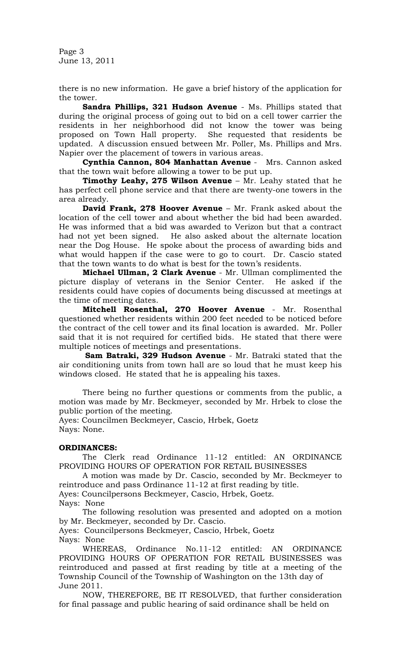Page 3 June 13, 2011

there is no new information. He gave a brief history of the application for the tower.

**Sandra Phillips, 321 Hudson Avenue** - Ms. Phillips stated that during the original process of going out to bid on a cell tower carrier the residents in her neighborhood did not know the tower was being proposed on Town Hall property. She requested that residents be updated. A discussion ensued between Mr. Poller, Ms. Phillips and Mrs. Napier over the placement of towers in various areas.

**Cynthia Cannon, 804 Manhattan Avenue** - Mrs. Cannon asked that the town wait before allowing a tower to be put up.

**Timothy Leahy, 275 Wilson Avenue** – Mr. Leahy stated that he has perfect cell phone service and that there are twenty-one towers in the area already.

**David Frank, 278 Hoover Avenue** – Mr. Frank asked about the location of the cell tower and about whether the bid had been awarded. He was informed that a bid was awarded to Verizon but that a contract had not yet been signed. He also asked about the alternate location near the Dog House. He spoke about the process of awarding bids and what would happen if the case were to go to court. Dr. Cascio stated that the town wants to do what is best for the town's residents.

**Michael Ullman, 2 Clark Avenue** - Mr. Ullman complimented the picture display of veterans in the Senior Center. He asked if the residents could have copies of documents being discussed at meetings at the time of meeting dates.

**Mitchell Rosenthal, 270 Hoover Avenue** - Mr. Rosenthal questioned whether residents within 200 feet needed to be noticed before the contract of the cell tower and its final location is awarded. Mr. Poller said that it is not required for certified bids. He stated that there were multiple notices of meetings and presentations.

 **Sam Batraki, 329 Hudson Avenue** - Mr. Batraki stated that the air conditioning units from town hall are so loud that he must keep his windows closed. He stated that he is appealing his taxes.

There being no further questions or comments from the public, a motion was made by Mr. Beckmeyer, seconded by Mr. Hrbek to close the public portion of the meeting.

Ayes: Councilmen Beckmeyer, Cascio, Hrbek, Goetz Nays: None.

#### **ORDINANCES:**

The Clerk read Ordinance 11-12 entitled: AN ORDINANCE PROVIDING HOURS OF OPERATION FOR RETAIL BUSINESSES

A motion was made by Dr. Cascio, seconded by Mr. Beckmeyer to reintroduce and pass Ordinance 11-12 at first reading by title.

Ayes: Councilpersons Beckmeyer, Cascio, Hrbek, Goetz. Nays: None

The following resolution was presented and adopted on a motion by Mr. Beckmeyer, seconded by Dr. Cascio.

Ayes: Councilpersons Beckmeyer, Cascio, Hrbek, Goetz Nays: None

 WHEREAS, Ordinance No.11-12 entitled: AN ORDINANCE PROVIDING HOURS OF OPERATION FOR RETAIL BUSINESSES was reintroduced and passed at first reading by title at a meeting of the Township Council of the Township of Washington on the 13th day of June 2011.

 NOW, THEREFORE, BE IT RESOLVED, that further consideration for final passage and public hearing of said ordinance shall be held on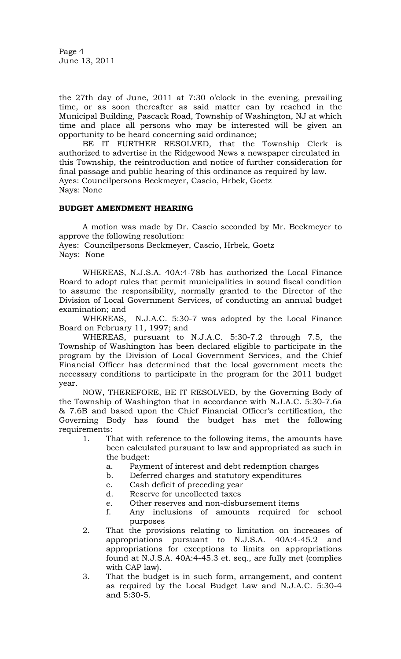Page 4 June 13, 2011

the 27th day of June, 2011 at 7:30 o'clock in the evening, prevailing time, or as soon thereafter as said matter can by reached in the Municipal Building, Pascack Road, Township of Washington, NJ at which time and place all persons who may be interested will be given an opportunity to be heard concerning said ordinance;

 BE IT FURTHER RESOLVED, that the Township Clerk is authorized to advertise in the Ridgewood News a newspaper circulated in this Township, the reintroduction and notice of further consideration for final passage and public hearing of this ordinance as required by law. Ayes: Councilpersons Beckmeyer, Cascio, Hrbek, Goetz Nays: None

## **BUDGET AMENDMENT HEARING**

 A motion was made by Dr. Cascio seconded by Mr. Beckmeyer to approve the following resolution: Ayes: Councilpersons Beckmeyer, Cascio, Hrbek, Goetz Nays: None

 WHEREAS, N.J.S.A. 40A:4-78b has authorized the Local Finance Board to adopt rules that permit municipalities in sound fiscal condition to assume the responsibility, normally granted to the Director of the Division of Local Government Services, of conducting an annual budget examination; and

 WHEREAS, N.J.A.C. 5:30-7 was adopted by the Local Finance Board on February 11, 1997; and

 WHEREAS, pursuant to N.J.A.C. 5:30-7.2 through 7.5, the Township of Washington has been declared eligible to participate in the program by the Division of Local Government Services, and the Chief Financial Officer has determined that the local government meets the necessary conditions to participate in the program for the 2011 budget year.

 NOW, THEREFORE, BE IT RESOLVED, by the Governing Body of the Township of Washington that in accordance with N.J.A.C. 5:30-7.6a & 7.6B and based upon the Chief Financial Officer's certification, the Governing Body has found the budget has met the following requirements:

- 1. That with reference to the following items, the amounts have been calculated pursuant to law and appropriated as such in the budget:
	- a. Payment of interest and debt redemption charges
	- b. Deferred charges and statutory expenditures
	- c. Cash deficit of preceding year
	- d. Reserve for uncollected taxes
	- e. Other reserves and non-disbursement items
	- f. Any inclusions of amounts required for school purposes
- 2. That the provisions relating to limitation on increases of appropriations pursuant to N.J.S.A. 40A:4-45.2 and appropriations for exceptions to limits on appropriations found at N.J.S.A. 40A:4-45.3 et. seq., are fully met (complies with CAP law).
- 3. That the budget is in such form, arrangement, and content as required by the Local Budget Law and N.J.A.C. 5:30-4 and 5:30-5.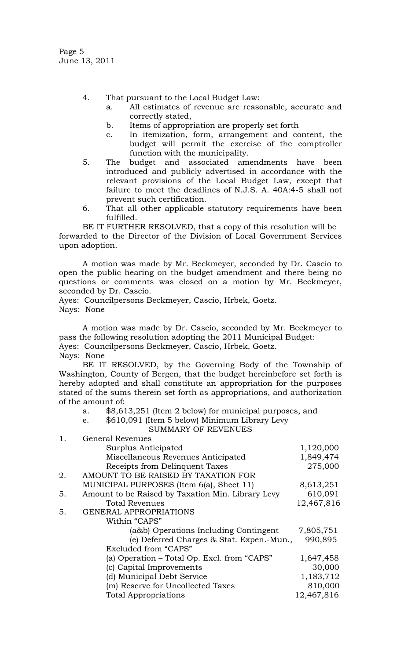Page 5 June 13, 2011

- 4. That pursuant to the Local Budget Law:
	- a. All estimates of revenue are reasonable, accurate and correctly stated,
	- b. Items of appropriation are properly set forth
	- c. In itemization, form, arrangement and content, the budget will permit the exercise of the comptroller function with the municipality.
- 5. The budget and associated amendments have been introduced and publicly advertised in accordance with the relevant provisions of the Local Budget Law, except that failure to meet the deadlines of N.J.S. A. 40A:4-5 shall not prevent such certification.
- 6. That all other applicable statutory requirements have been fulfilled.

BE IT FURTHER RESOLVED, that a copy of this resolution will be forwarded to the Director of the Division of Local Government Services upon adoption.

 A motion was made by Mr. Beckmeyer, seconded by Dr. Cascio to open the public hearing on the budget amendment and there being no questions or comments was closed on a motion by Mr. Beckmeyer, seconded by Dr. Cascio.

Ayes: Councilpersons Beckmeyer, Cascio, Hrbek, Goetz. Nays: None

 A motion was made by Dr. Cascio, seconded by Mr. Beckmeyer to pass the following resolution adopting the 2011 Municipal Budget: Ayes: Councilpersons Beckmeyer, Cascio, Hrbek, Goetz.

Nays: None

 BE IT RESOLVED, by the Governing Body of the Township of Washington, County of Bergen, that the budget hereinbefore set forth is hereby adopted and shall constitute an appropriation for the purposes stated of the sums therein set forth as appropriations, and authorization of the amount of:

- a. \$8,613,251 (Item 2 below) for municipal purposes, and
- e. \$610,091 (Item 5 below) Minimum Library Levy SUMMARY OF REVENUES

1. General Revenues Surplus Anticipated 1,120,000 Miscellaneous Revenues Anticipated 1,849,474 Receipts from Delinquent Taxes 275,000 2. AMOUNT TO BE RAISED BY TAXATION FOR MUNICIPAL PURPOSES (Item 6(a), Sheet 11) 8,613,251 5. Amount to be Raised by Taxation Min. Library Levy 610,091 Total Revenues 12,467,816 5. GENERAL APPROPRIATIONS Within "CAPS" (a&b) Operations Including Contingent 7,805,751 (e) Deferred Charges & Stat. Expen.-Mun., 990,895 Excluded from "CAPS" (a) Operation – Total Op. Excl. from "CAPS" 1,647,458 (c) Capital Improvements 30,000 (d) Municipal Debt Service 1,183,712 (m) Reserve for Uncollected Taxes 810,000 Total Appropriations 12,467,816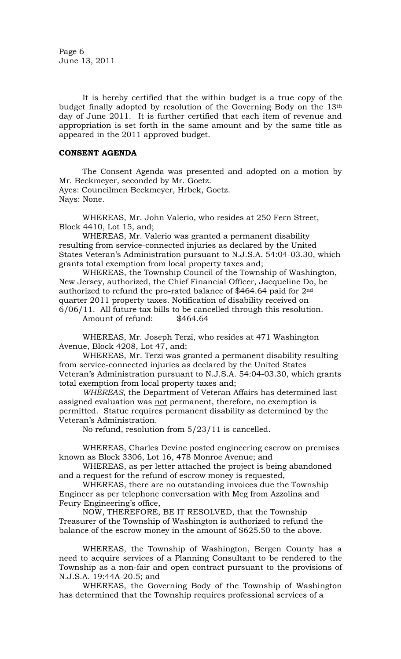Page 6 June 13, 2011

It is hereby certified that the within budget is a true copy of the budget finally adopted by resolution of the Governing Body on the 13th day of June 2011. It is further certified that each item of revenue and appropriation is set forth in the same amount and by the same title as appeared in the 2011 approved budget.

# **CONSENT AGENDA**

The Consent Agenda was presented and adopted on a motion by Mr. Beckmeyer, seconded by Mr. Goetz. Ayes: Councilmen Beckmeyer, Hrbek, Goetz. Nays: None.

WHEREAS, Mr. John Valerio, who resides at 250 Fern Street, Block 4410, Lot 15, and;

WHEREAS, Mr. Valerio was granted a permanent disability resulting from service-connected injuries as declared by the United States Veteran's Administration pursuant to N.J.S.A. 54:04-03.30, which grants total exemption from local property taxes and;

WHEREAS, the Township Council of the Township of Washington, New Jersey, authorized, the Chief Financial Officer, Jacqueline Do, be authorized to refund the pro-rated balance of \$464.64 paid for  $2<sup>nd</sup>$ quarter 2011 property taxes. Notification of disability received on 6/06/11. All future tax bills to be cancelled through this resolution.

Amount of refund: \$464.64

WHEREAS, Mr. Joseph Terzi, who resides at 471 Washington Avenue, Block 4208, Lot 47, and;

WHEREAS, Mr. Terzi was granted a permanent disability resulting from service-connected injuries as declared by the United States Veteran's Administration pursuant to N.J.S.A. 54:04-03.30, which grants total exemption from local property taxes and;

*WHEREAS*, the Department of Veteran Affairs has determined last assigned evaluation was not permanent, therefore, no exemption is permitted. Statue requires permanent disability as determined by the Veteran's Administration.

No refund, resolution from 5/23/11 is cancelled.

WHEREAS, Charles Devine posted engineering escrow on premises known as Block 3306, Lot 16, 478 Monroe Avenue; and

WHEREAS, as per letter attached the project is being abandoned and a request for the refund of escrow money is requested,

WHEREAS, there are no outstanding invoices due the Township Engineer as per telephone conversation with Meg from Azzolina and Feury Engineering's office,

NOW, THEREFORE, BE IT RESOLVED, that the Township Treasurer of the Township of Washington is authorized to refund the balance of the escrow money in the amount of \$625.50 to the above.

WHEREAS, the Township of Washington, Bergen County has a need to acquire services of a Planning Consultant to be rendered to the Township as a non-fair and open contract pursuant to the provisions of N.J.S.A. 19:44A-20.5; and

WHEREAS, the Governing Body of the Township of Washington has determined that the Township requires professional services of a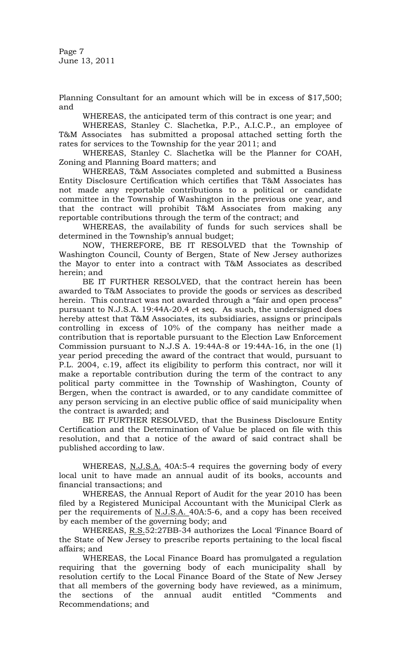Page 7 June 13, 2011

Planning Consultant for an amount which will be in excess of \$17,500; and

WHEREAS, the anticipated term of this contract is one year; and

WHEREAS, Stanley C. Slachetka, P.P., A.I.C.P., an employee of T&M Associates has submitted a proposal attached setting forth the rates for services to the Township for the year 2011; and

 WHEREAS, Stanley C. Slachetka will be the Planner for COAH, Zoning and Planning Board matters; and

WHEREAS, T&M Associates completed and submitted a Business Entity Disclosure Certification which certifies that T&M Associates has not made any reportable contributions to a political or candidate committee in the Township of Washington in the previous one year, and that the contract will prohibit T&M Associates from making any reportable contributions through the term of the contract; and

WHEREAS, the availability of funds for such services shall be determined in the Township's annual budget;

NOW, THEREFORE, BE IT RESOLVED that the Township of Washington Council, County of Bergen, State of New Jersey authorizes the Mayor to enter into a contract with T&M Associates as described herein; and

BE IT FURTHER RESOLVED, that the contract herein has been awarded to T&M Associates to provide the goods or services as described herein. This contract was not awarded through a "fair and open process" pursuant to N.J.S.A. 19:44A-20.4 et seq. As such, the undersigned does hereby attest that T&M Associates, its subsidiaries, assigns or principals controlling in excess of 10% of the company has neither made a contribution that is reportable pursuant to the Election Law Enforcement Commission pursuant to N.J.S A. 19:44A-8 or 19:44A-16, in the one (1) year period preceding the award of the contract that would, pursuant to P.L. 2004, c.19, affect its eligibility to perform this contract, nor will it make a reportable contribution during the term of the contract to any political party committee in the Township of Washington, County of Bergen, when the contract is awarded, or to any candidate committee of any person servicing in an elective public office of said municipality when the contract is awarded; and

BE IT FURTHER RESOLVED, that the Business Disclosure Entity Certification and the Determination of Value be placed on file with this resolution, and that a notice of the award of said contract shall be published according to law.

WHEREAS, N.J.S.A. 40A:5-4 requires the governing body of every local unit to have made an annual audit of its books, accounts and financial transactions; and

 WHEREAS, the Annual Report of Audit for the year 2010 has been filed by a Registered Municipal Accountant with the Municipal Clerk as per the requirements of N.J.S.A. 40A:5-6, and a copy has been received by each member of the governing body; and

WHEREAS, R.S.52:27BB-34 authorizes the Local 'Finance Board of the State of New Jersey to prescribe reports pertaining to the local fiscal affairs; and

 WHEREAS, the Local Finance Board has promulgated a regulation requiring that the governing body of each municipality shall by resolution certify to the Local Finance Board of the State of New Jersey that all members of the governing body have reviewed, as a minimum, the sections of the annual audit entitled "Comments and Recommendations; and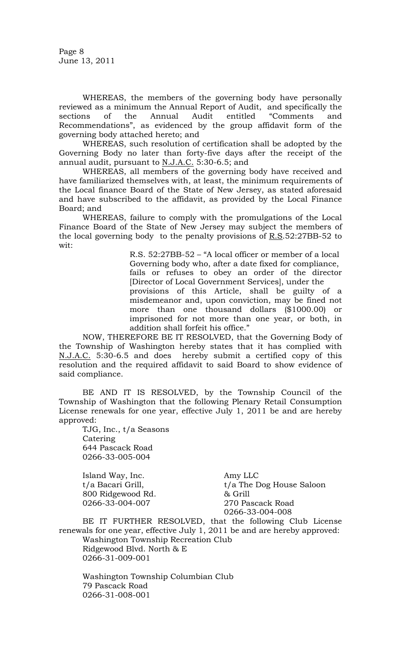Page 8 June 13, 2011

 WHEREAS, the members of the governing body have personally reviewed as a minimum the Annual Report of Audit, and specifically the sections of the Annual Audit entitled "Comments and Recommendations", as evidenced by the group affidavit form of the governing body attached hereto; and

 WHEREAS, such resolution of certification shall be adopted by the Governing Body no later than forty-five days after the receipt of the annual audit, pursuant to N.J.A.C. 5:30-6.5; and

 WHEREAS, all members of the governing body have received and have familiarized themselves with, at least, the minimum requirements of the Local finance Board of the State of New Jersey, as stated aforesaid and have subscribed to the affidavit, as provided by the Local Finance Board; and

 WHEREAS, failure to comply with the promulgations of the Local Finance Board of the State of New Jersey may subject the members of the local governing body to the penalty provisions of  $R.S.52:27BB-52$  to wit:

> R.S. 52:27BB-52 – "A local officer or member of a local Governing body who, after a date fixed for compliance, fails or refuses to obey an order of the director [Director of Local Government Services], under the provisions of this Article, shall be guilty of a misdemeanor and, upon conviction, may be fined not more than one thousand dollars (\$1000.00) or imprisoned for not more than one year, or both, in addition shall forfeit his office."

 NOW, THEREFORE BE IT RESOLVED, that the Governing Body of the Township of Washington hereby states that it has complied with N.J.A.C. 5:30-6.5 and does hereby submit a certified copy of this resolution and the required affidavit to said Board to show evidence of said compliance.

BE AND IT IS RESOLVED, by the Township Council of the Township of Washington that the following Plenary Retail Consumption License renewals for one year, effective July 1, 2011 be and are hereby approved:

TJG, Inc., t/a Seasons Catering 644 Pascack Road 0266-33-005-004

 Island Way, Inc. Amy LLC 800 Ridgewood Rd. & Grill 0266-33-004-007 270 Pascack Road

t/a Bacari Grill, t/a The Dog House Saloon 0266-33-004-008

BE IT FURTHER RESOLVED, that the following Club License renewals for one year, effective July 1, 2011 be and are hereby approved: Washington Township Recreation Club Ridgewood Blvd. North & E 0266-31-009-001

Washington Township Columbian Club 79 Pascack Road 0266-31-008-001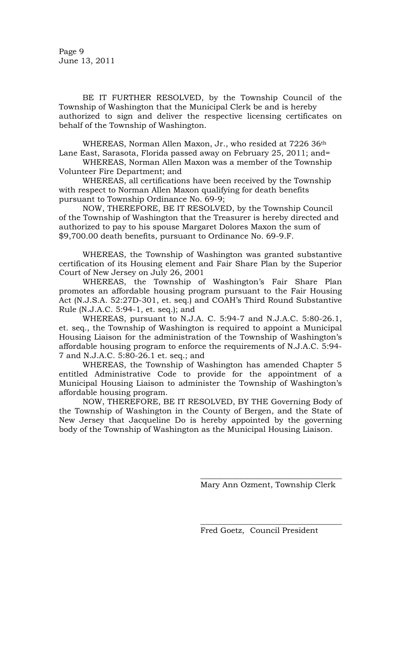Page 9 June 13, 2011

BE IT FURTHER RESOLVED, by the Township Council of the Township of Washington that the Municipal Clerk be and is hereby authorized to sign and deliver the respective licensing certificates on behalf of the Township of Washington.

WHEREAS, Norman Allen Maxon, Jr., who resided at 7226 36th Lane East, Sarasota, Florida passed away on February 25, 2011; and=

 WHEREAS, Norman Allen Maxon was a member of the Township Volunteer Fire Department; and

 WHEREAS, all certifications have been received by the Township with respect to Norman Allen Maxon qualifying for death benefits pursuant to Township Ordinance No. 69-9;

 NOW, THEREFORE, BE IT RESOLVED, by the Township Council of the Township of Washington that the Treasurer is hereby directed and authorized to pay to his spouse Margaret Dolores Maxon the sum of \$9,700.00 death benefits, pursuant to Ordinance No. 69-9.F.

 WHEREAS, the Township of Washington was granted substantive certification of its Housing element and Fair Share Plan by the Superior Court of New Jersey on July 26, 2001

 WHEREAS, the Township of Washington's Fair Share Plan promotes an affordable housing program pursuant to the Fair Housing Act (N.J.S.A. 52:27D-301, et. seq.) and COAH's Third Round Substantive Rule (N.J.A.C. 5:94-1, et. seq.); and

 WHEREAS, pursuant to N.J.A. C. 5:94-7 and N.J.A.C. 5:80-26.1, et. seq., the Township of Washington is required to appoint a Municipal Housing Liaison for the administration of the Township of Washington's affordable housing program to enforce the requirements of N.J.A.C. 5:94- 7 and N.J.A.C. 5:80-26.1 et. seq.; and

 WHEREAS, the Township of Washington has amended Chapter 5 entitled Administrative Code to provide for the appointment of a Municipal Housing Liaison to administer the Township of Washington's affordable housing program.

 NOW, THEREFORE, BE IT RESOLVED, BY THE Governing Body of the Township of Washington in the County of Bergen, and the State of New Jersey that Jacqueline Do is hereby appointed by the governing body of the Township of Washington as the Municipal Housing Liaison.

 $\frac{1}{\sqrt{2}}$  ,  $\frac{1}{\sqrt{2}}$  ,  $\frac{1}{\sqrt{2}}$  ,  $\frac{1}{\sqrt{2}}$  ,  $\frac{1}{\sqrt{2}}$  ,  $\frac{1}{\sqrt{2}}$  ,  $\frac{1}{\sqrt{2}}$  ,  $\frac{1}{\sqrt{2}}$  ,  $\frac{1}{\sqrt{2}}$  ,  $\frac{1}{\sqrt{2}}$  ,  $\frac{1}{\sqrt{2}}$  ,  $\frac{1}{\sqrt{2}}$  ,  $\frac{1}{\sqrt{2}}$  ,  $\frac{1}{\sqrt{2}}$  ,  $\frac{1}{\sqrt{2}}$ 

 $\overline{\phantom{a}}$  , where the contract of the contract of the contract of the contract of the contract of the contract of the contract of the contract of the contract of the contract of the contract of the contract of the contr Mary Ann Ozment, Township Clerk

Fred Goetz, Council President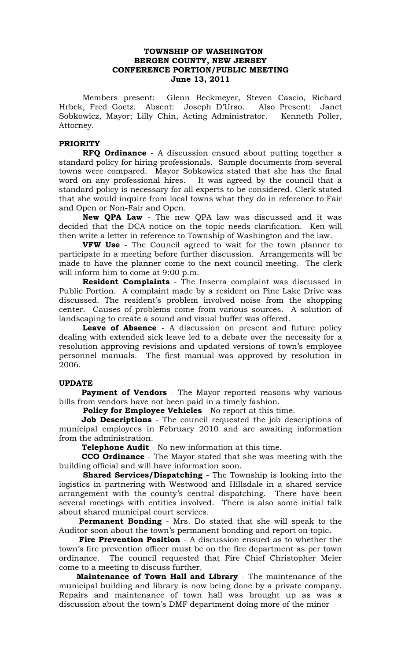## **TOWNSHIP OF WASHINGTON BERGEN COUNTY, NEW JERSEY CONFERENCE PORTION/PUBLIC MEETING June 13, 2011**

Members present: Glenn Beckmeyer, Steven Cascio, Richard Hrbek, Fred Goetz. Absent: Joseph D'Urso. Also Present: Janet Sobkowicz, Mayor; Lilly Chin, Acting Administrator. Kenneth Poller, Attorney.

### **PRIORITY**

**RFQ Ordinance** - A discussion ensued about putting together a standard policy for hiring professionals. Sample documents from several towns were compared. Mayor Sobkowicz stated that she has the final word on any professional hires. It was agreed by the council that a standard policy is necessary for all experts to be considered. Clerk stated that she would inquire from local towns what they do in reference to Fair and Open or Non-Fair and Open.

**New QPA Law** - The new QPA law was discussed and it was decided that the DCA notice on the topic needs clarification. Ken will then write a letter in reference to Township of Washington and the law.

**VFW Use** - The Council agreed to wait for the town planner to participate in a meeting before further discussion. Arrangements will be made to have the planner come to the next council meeting. The clerk will inform him to come at 9:00 p.m.

**Resident Complaints** - The Inserra complaint was discussed in Public Portion. A complaint made by a resident on Pine Lake Drive was discussed. The resident's problem involved noise from the shopping center. Causes of problems come from various sources. A solution of landscaping to create a sound and visual buffer was offered.

**Leave of Absence** - A discussion on present and future policy dealing with extended sick leave led to a debate over the necessity for a resolution approving revisions and updated versions of town's employee personnel manuals. The first manual was approved by resolution in 2006.

## **UPDATE**

**Payment of Vendors** - The Mayor reported reasons why various bills from vendors have not been paid in a timely fashion.

 **Policy for Employee Vehicles** - No report at this time.

 **Job Descriptions** - The council requested the job descriptions of municipal employees in February 2010 and are awaiting information from the administration.

**Telephone Audit** - No new information at this time.

 **CCO Ordinance** - The Mayor stated that she was meeting with the building official and will have information soon.

 **Shared Services/Dispatching** - The Township is looking into the logistics in partnering with Westwood and Hillsdale in a shared service arrangement with the county's central dispatching. There have been several meetings with entities involved. There is also some initial talk about shared municipal court services.

 **Permanent Bonding** - Mrs. Do stated that she will speak to the Auditor soon about the town's permanent bonding and report on topic.

 **Fire Prevention Position** - A discussion ensued as to whether the town's fire prevention officer must be on the fire department as per town ordinance. The council requested that Fire Chief Christopher Meier come to a meeting to discuss further.

 **Maintenance of Town Hall and Library** - The maintenance of the municipal building and library is now being done by a private company. Repairs and maintenance of town hall was brought up as was a discussion about the town's DMF department doing more of the minor